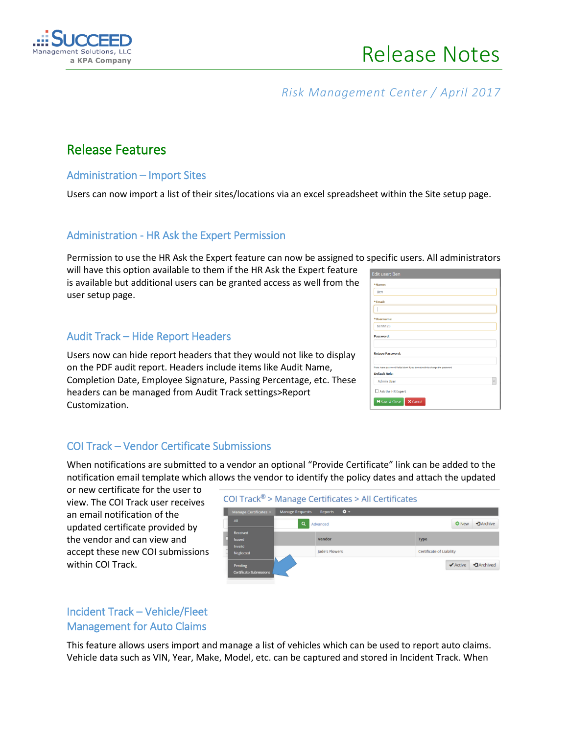

## *Risk Management Center / April 2017*

# Release Features

#### Administration – Import Sites

Users can now import a list of their sites/locations via an excel spreadsheet within the Site setup page.

### Administration - HR Ask the Expert Permission

Permission to use the HR Ask the Expert feature can now be assigned to specific users. All administrators

will have this option available to them if the HR Ask the Expert feature is available but additional users can be granted access as well from the user setup page.

### Audit Track – Hide Report Headers

Users now can hide report headers that they would not like to display on the PDF audit report. Headers include items like Audit Name, Completion Date, Employee Signature, Passing Percentage, etc. These headers can be managed from Audit Track settings>Report Customization.

| <b>Edit user: Ben</b>                                                                        |
|----------------------------------------------------------------------------------------------|
| *Name:                                                                                       |
| Ben                                                                                          |
| *Email:                                                                                      |
|                                                                                              |
| *Username:                                                                                   |
| benh123                                                                                      |
| Password:                                                                                    |
| <b>Retype Password:</b>                                                                      |
| Note: leave password fields blank if you do not wish to change the password<br>Default Role: |
| <b>Admin User</b>                                                                            |
| Ask the HR Expert                                                                            |
| <b>H</b> Save & Close<br><b>X</b> Cancel                                                     |

### COI Track – Vendor Certificate Submissions

When notifications are submitted to a vendor an optional "Provide Certificate" link can be added to the notification email template which allows the vendor to identify the policy dates and attach the updated

or new certificate for the user to view. The COI Track user receives an email notification of the updated certificate provided by the vendor and can view and accept these new COI submissions within COI Track.



### Incident Track – Vehicle/Fleet Management for Auto Claims

This feature allows users import and manage a list of vehicles which can be used to report auto claims. Vehicle data such as VIN, Year, Make, Model, etc. can be captured and stored in Incident Track. When